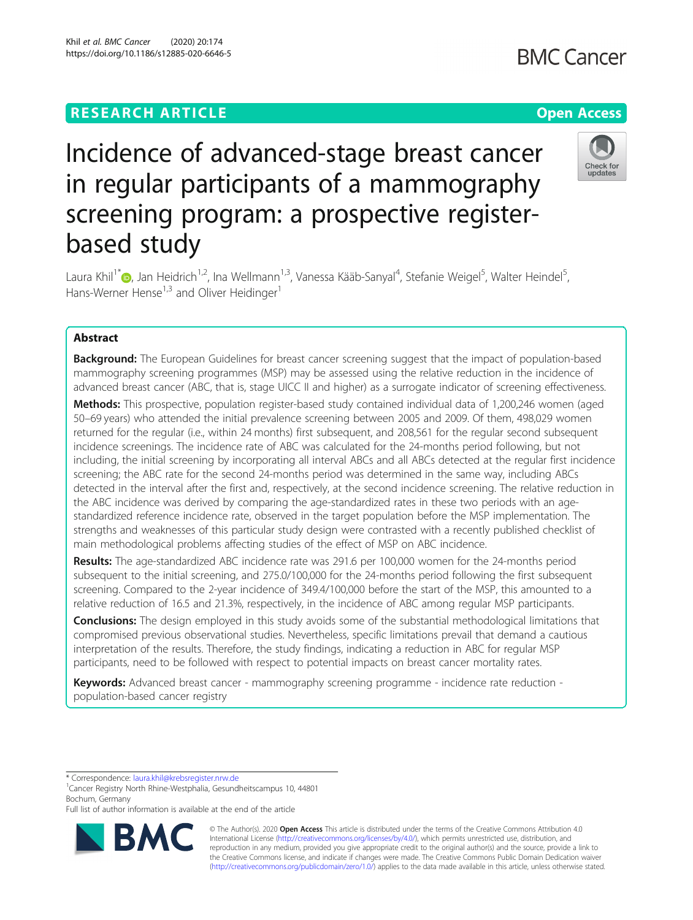#### Khil et al. BMC Cancer (2020) 20:174 https://doi.org/10.1186/s12885-020-6646-5

**BMC Cancer** 

## Check for undates

# Incidence of advanced-stage breast cancer in regular participants of a mammography screening program: a prospective registerbased study

Laura Khil<sup>1[\\*](http://orcid.org/0000-0001-5600-907X)</sup>®, Jan Heidrich<sup>1,2</sup>, Ina Wellmann<sup>1,3</sup>, Vanessa Kääb-Sanyal<sup>4</sup>, Stefanie Weigel<sup>5</sup>, Walter Heindel<sup>5</sup> , Hans-Werner Hense<sup>1,3</sup> and Oliver Heidinger<sup>1</sup>

### Abstract

Background: The European Guidelines for breast cancer screening suggest that the impact of population-based mammography screening programmes (MSP) may be assessed using the relative reduction in the incidence of advanced breast cancer (ABC, that is, stage UICC II and higher) as a surrogate indicator of screening effectiveness.

Methods: This prospective, population register-based study contained individual data of 1,200,246 women (aged 50–69 years) who attended the initial prevalence screening between 2005 and 2009. Of them, 498,029 women returned for the regular (i.e., within 24 months) first subsequent, and 208,561 for the regular second subsequent incidence screenings. The incidence rate of ABC was calculated for the 24-months period following, but not including, the initial screening by incorporating all interval ABCs and all ABCs detected at the regular first incidence screening; the ABC rate for the second 24-months period was determined in the same way, including ABCs detected in the interval after the first and, respectively, at the second incidence screening. The relative reduction in the ABC incidence was derived by comparing the age-standardized rates in these two periods with an agestandardized reference incidence rate, observed in the target population before the MSP implementation. The strengths and weaknesses of this particular study design were contrasted with a recently published checklist of main methodological problems affecting studies of the effect of MSP on ABC incidence.

Results: The age-standardized ABC incidence rate was 291.6 per 100,000 women for the 24-months period subsequent to the initial screening, and 275.0/100,000 for the 24-months period following the first subsequent screening. Compared to the 2-year incidence of 349.4/100,000 before the start of the MSP, this amounted to a relative reduction of 16.5 and 21.3%, respectively, in the incidence of ABC among regular MSP participants.

**Conclusions:** The design employed in this study avoids some of the substantial methodological limitations that compromised previous observational studies. Nevertheless, specific limitations prevail that demand a cautious interpretation of the results. Therefore, the study findings, indicating a reduction in ABC for regular MSP participants, need to be followed with respect to potential impacts on breast cancer mortality rates.

Keywords: Advanced breast cancer - mammography screening programme - incidence rate reduction population-based cancer registry

\* Correspondence: [laura.khil@krebsregister.nrw.de](mailto:laura.khil@krebsregister.nrw.de) <sup>1</sup>

Cancer Registry North Rhine-Westphalia, Gesundheitscampus 10, 44801 Bochum, Germany

Full list of author information is available at the end of the article



© The Author(s). 2020 **Open Access** This article is distributed under the terms of the Creative Commons Attribution 4.0 International License [\(http://creativecommons.org/licenses/by/4.0/](http://creativecommons.org/licenses/by/4.0/)), which permits unrestricted use, distribution, and reproduction in any medium, provided you give appropriate credit to the original author(s) and the source, provide a link to the Creative Commons license, and indicate if changes were made. The Creative Commons Public Domain Dedication waiver [\(http://creativecommons.org/publicdomain/zero/1.0/](http://creativecommons.org/publicdomain/zero/1.0/)) applies to the data made available in this article, unless otherwise stated.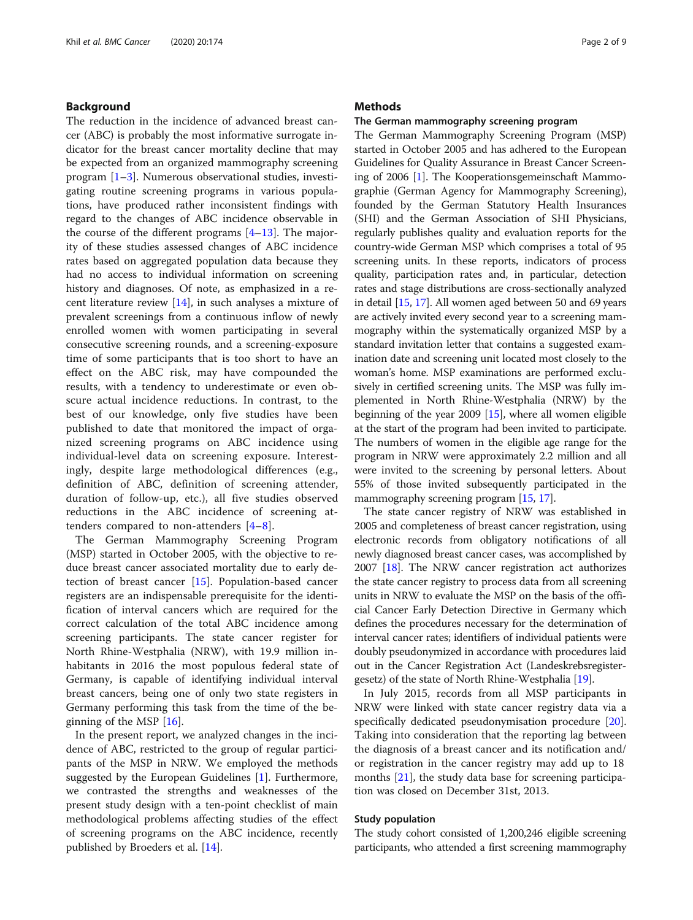#### <span id="page-1-0"></span>Background

The reduction in the incidence of advanced breast cancer (ABC) is probably the most informative surrogate indicator for the breast cancer mortality decline that may be expected from an organized mammography screening program [\[1](#page-7-0)–[3\]](#page-7-0). Numerous observational studies, investigating routine screening programs in various populations, have produced rather inconsistent findings with regard to the changes of ABC incidence observable in the course of the different programs [\[4](#page-7-0)–[13\]](#page-8-0). The majority of these studies assessed changes of ABC incidence rates based on aggregated population data because they had no access to individual information on screening history and diagnoses. Of note, as emphasized in a recent literature review [[14\]](#page-8-0), in such analyses a mixture of prevalent screenings from a continuous inflow of newly enrolled women with women participating in several consecutive screening rounds, and a screening-exposure time of some participants that is too short to have an effect on the ABC risk, may have compounded the results, with a tendency to underestimate or even obscure actual incidence reductions. In contrast, to the best of our knowledge, only five studies have been published to date that monitored the impact of organized screening programs on ABC incidence using individual-level data on screening exposure. Interestingly, despite large methodological differences (e.g., definition of ABC, definition of screening attender, duration of follow-up, etc.), all five studies observed reductions in the ABC incidence of screening attenders compared to non-attenders [\[4](#page-7-0)–[8](#page-7-0)].

The German Mammography Screening Program (MSP) started in October 2005, with the objective to reduce breast cancer associated mortality due to early detection of breast cancer [[15\]](#page-8-0). Population-based cancer registers are an indispensable prerequisite for the identification of interval cancers which are required for the correct calculation of the total ABC incidence among screening participants. The state cancer register for North Rhine-Westphalia (NRW), with 19.9 million inhabitants in 2016 the most populous federal state of Germany, is capable of identifying individual interval breast cancers, being one of only two state registers in Germany performing this task from the time of the beginning of the MSP [[16\]](#page-8-0).

In the present report, we analyzed changes in the incidence of ABC, restricted to the group of regular participants of the MSP in NRW. We employed the methods suggested by the European Guidelines [\[1](#page-7-0)]. Furthermore, we contrasted the strengths and weaknesses of the present study design with a ten-point checklist of main methodological problems affecting studies of the effect of screening programs on the ABC incidence, recently published by Broeders et al. [\[14](#page-8-0)].

#### **Methods**

#### The German mammography screening program

The German Mammography Screening Program (MSP) started in October 2005 and has adhered to the European Guidelines for Quality Assurance in Breast Cancer Screening of 2006 [[1\]](#page-7-0). The Kooperationsgemeinschaft Mammographie (German Agency for Mammography Screening), founded by the German Statutory Health Insurances (SHI) and the German Association of SHI Physicians, regularly publishes quality and evaluation reports for the country-wide German MSP which comprises a total of 95 screening units. In these reports, indicators of process quality, participation rates and, in particular, detection rates and stage distributions are cross-sectionally analyzed in detail [\[15](#page-8-0), [17](#page-8-0)]. All women aged between 50 and 69 years are actively invited every second year to a screening mammography within the systematically organized MSP by a standard invitation letter that contains a suggested examination date and screening unit located most closely to the woman's home. MSP examinations are performed exclusively in certified screening units. The MSP was fully implemented in North Rhine-Westphalia (NRW) by the beginning of the year 2009  $[15]$  $[15]$  $[15]$ , where all women eligible at the start of the program had been invited to participate. The numbers of women in the eligible age range for the program in NRW were approximately 2.2 million and all were invited to the screening by personal letters. About 55% of those invited subsequently participated in the mammography screening program [[15](#page-8-0), [17\]](#page-8-0).

The state cancer registry of NRW was established in 2005 and completeness of breast cancer registration, using electronic records from obligatory notifications of all newly diagnosed breast cancer cases, was accomplished by 2007 [[18](#page-8-0)]. The NRW cancer registration act authorizes the state cancer registry to process data from all screening units in NRW to evaluate the MSP on the basis of the official Cancer Early Detection Directive in Germany which defines the procedures necessary for the determination of interval cancer rates; identifiers of individual patients were doubly pseudonymized in accordance with procedures laid out in the Cancer Registration Act (Landeskrebsregistergesetz) of the state of North Rhine-Westphalia [\[19\]](#page-8-0).

In July 2015, records from all MSP participants in NRW were linked with state cancer registry data via a specifically dedicated pseudonymisation procedure [\[20](#page-8-0)]. Taking into consideration that the reporting lag between the diagnosis of a breast cancer and its notification and/ or registration in the cancer registry may add up to 18 months [\[21\]](#page-8-0), the study data base for screening participation was closed on December 31st, 2013.

#### Study population

The study cohort consisted of 1,200,246 eligible screening participants, who attended a first screening mammography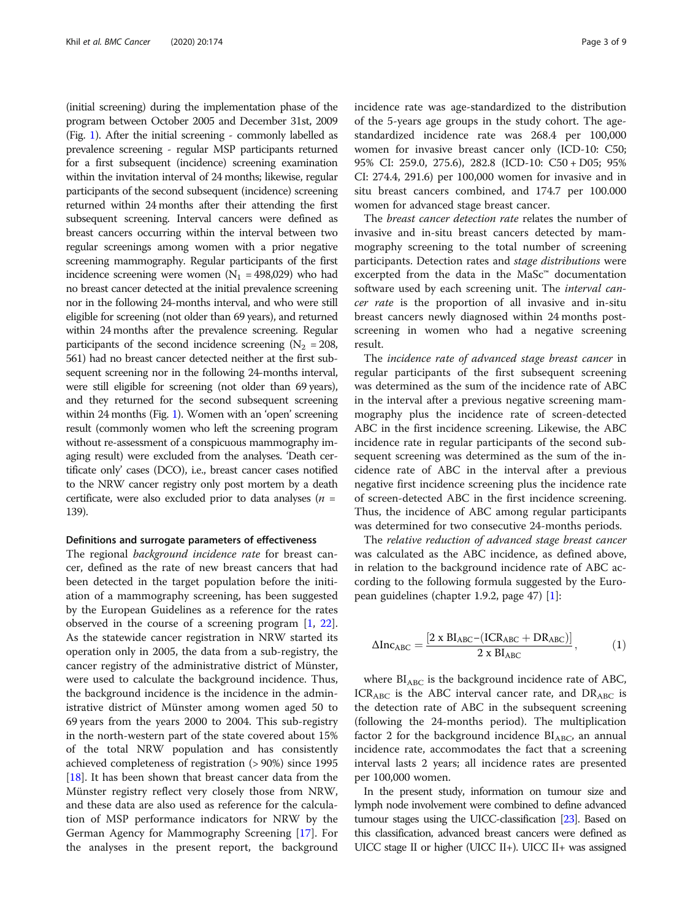<span id="page-2-0"></span>(initial screening) during the implementation phase of the program between October 2005 and December 31st, 2009 (Fig. [1\)](#page-3-0). After the initial screening - commonly labelled as prevalence screening - regular MSP participants returned for a first subsequent (incidence) screening examination within the invitation interval of 24 months; likewise, regular participants of the second subsequent (incidence) screening returned within 24 months after their attending the first subsequent screening. Interval cancers were defined as breast cancers occurring within the interval between two regular screenings among women with a prior negative screening mammography. Regular participants of the first incidence screening were women  $(N_1 = 498,029)$  who had no breast cancer detected at the initial prevalence screening nor in the following 24-months interval, and who were still eligible for screening (not older than 69 years), and returned within 24 months after the prevalence screening. Regular participants of the second incidence screening ( $N_2$  = 208, 561) had no breast cancer detected neither at the first subsequent screening nor in the following 24-months interval, were still eligible for screening (not older than 69 years), and they returned for the second subsequent screening within 24 months (Fig. [1\)](#page-3-0). Women with an 'open' screening result (commonly women who left the screening program without re-assessment of a conspicuous mammography imaging result) were excluded from the analyses. 'Death certificate only' cases (DCO), i.e., breast cancer cases notified to the NRW cancer registry only post mortem by a death certificate, were also excluded prior to data analyses ( $n =$ 139).

#### Definitions and surrogate parameters of effectiveness

The regional *background incidence rate* for breast cancer, defined as the rate of new breast cancers that had been detected in the target population before the initiation of a mammography screening, has been suggested by the European Guidelines as a reference for the rates observed in the course of a screening program [\[1,](#page-7-0) [22](#page-8-0)]. As the statewide cancer registration in NRW started its operation only in 2005, the data from a sub-registry, the cancer registry of the administrative district of Münster, were used to calculate the background incidence. Thus, the background incidence is the incidence in the administrative district of Münster among women aged 50 to 69 years from the years 2000 to 2004. This sub-registry in the north-western part of the state covered about 15% of the total NRW population and has consistently achieved completeness of registration (> 90%) since 1995 [[18\]](#page-8-0). It has been shown that breast cancer data from the Münster registry reflect very closely those from NRW, and these data are also used as reference for the calculation of MSP performance indicators for NRW by the German Agency for Mammography Screening [[17](#page-8-0)]. For the analyses in the present report, the background incidence rate was age-standardized to the distribution of the 5-years age groups in the study cohort. The agestandardized incidence rate was 268.4 per 100,000 women for invasive breast cancer only (ICD-10: C50; 95% CI: 259.0, 275.6), 282.8 (ICD-10: C50 + D05; 95% CI: 274.4, 291.6) per 100,000 women for invasive and in situ breast cancers combined, and 174.7 per 100.000 women for advanced stage breast cancer.

The breast cancer detection rate relates the number of invasive and in-situ breast cancers detected by mammography screening to the total number of screening participants. Detection rates and stage distributions were excerpted from the data in the MaSc™ documentation software used by each screening unit. The *interval can*cer rate is the proportion of all invasive and in-situ breast cancers newly diagnosed within 24 months postscreening in women who had a negative screening result.

The incidence rate of advanced stage breast cancer in regular participants of the first subsequent screening was determined as the sum of the incidence rate of ABC in the interval after a previous negative screening mammography plus the incidence rate of screen-detected ABC in the first incidence screening. Likewise, the ABC incidence rate in regular participants of the second subsequent screening was determined as the sum of the incidence rate of ABC in the interval after a previous negative first incidence screening plus the incidence rate of screen-detected ABC in the first incidence screening. Thus, the incidence of ABC among regular participants was determined for two consecutive 24-months periods.

The relative reduction of advanced stage breast cancer was calculated as the ABC incidence, as defined above, in relation to the background incidence rate of ABC according to the following formula suggested by the European guidelines (chapter 1.9.2, page 47) [\[1](#page-7-0)]:

$$
\Delta Inc_{ABC}=\frac{\left[2\times BI_{ABC}-(ICR_{ABC}+DR_{ABC})\right]}{2\times BI_{ABC}},\qquad \qquad (1)
$$

where  $BI<sub>ABC</sub>$  is the background incidence rate of ABC,  $ICR_{ABC}$  is the ABC interval cancer rate, and  $DR_{ABC}$  is the detection rate of ABC in the subsequent screening (following the 24-months period). The multiplication factor 2 for the background incidence  $BI<sub>ABC</sub>$ , an annual incidence rate, accommodates the fact that a screening interval lasts 2 years; all incidence rates are presented per 100,000 women.

In the present study, information on tumour size and lymph node involvement were combined to define advanced tumour stages using the UICC-classification [\[23\]](#page-8-0). Based on this classification, advanced breast cancers were defined as UICC stage II or higher (UICC II+). UICC II+ was assigned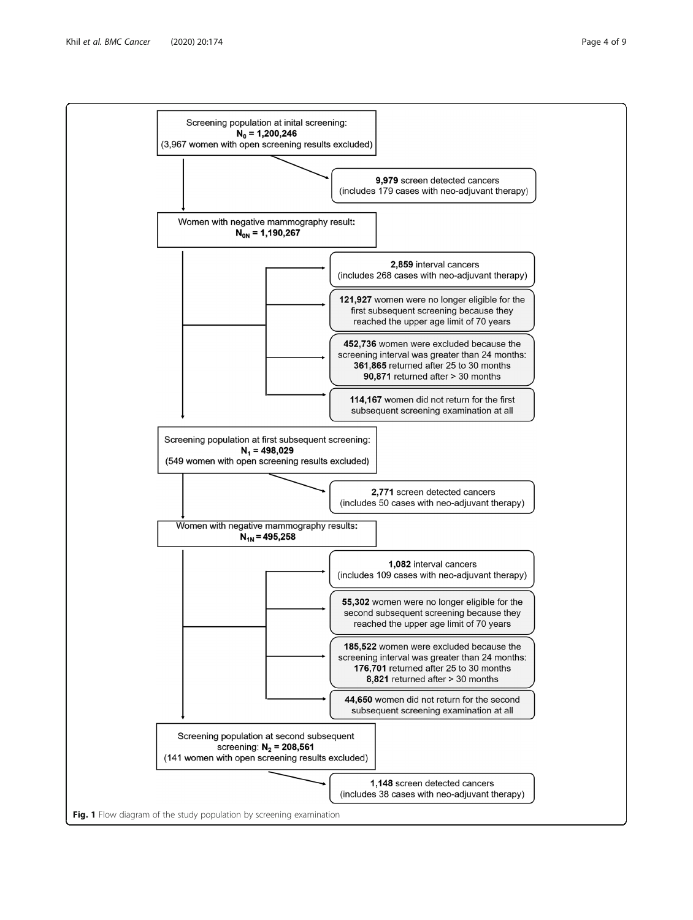<span id="page-3-0"></span>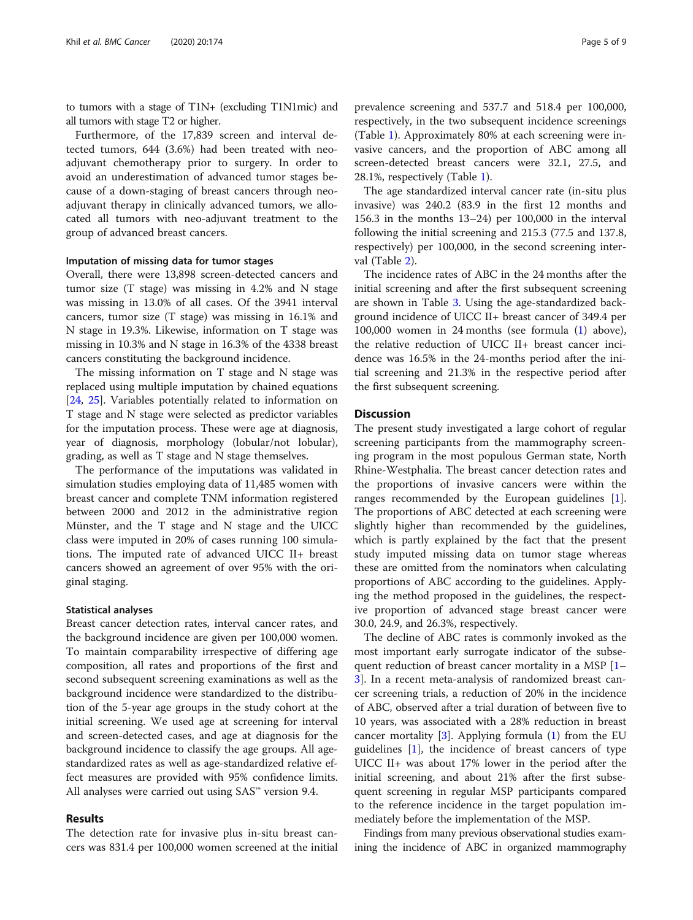to tumors with a stage of T1N+ (excluding T1N1mic) and all tumors with stage T2 or higher.

Furthermore, of the 17,839 screen and interval detected tumors, 644 (3.6%) had been treated with neoadjuvant chemotherapy prior to surgery. In order to avoid an underestimation of advanced tumor stages because of a down-staging of breast cancers through neoadjuvant therapy in clinically advanced tumors, we allocated all tumors with neo-adjuvant treatment to the group of advanced breast cancers.

#### Imputation of missing data for tumor stages

Overall, there were 13,898 screen-detected cancers and tumor size (T stage) was missing in 4.2% and N stage was missing in 13.0% of all cases. Of the 3941 interval cancers, tumor size (T stage) was missing in 16.1% and N stage in 19.3%. Likewise, information on T stage was missing in 10.3% and N stage in 16.3% of the 4338 breast cancers constituting the background incidence.

The missing information on T stage and N stage was replaced using multiple imputation by chained equations [[24,](#page-8-0) [25\]](#page-8-0). Variables potentially related to information on T stage and N stage were selected as predictor variables for the imputation process. These were age at diagnosis, year of diagnosis, morphology (lobular/not lobular), grading, as well as T stage and N stage themselves.

The performance of the imputations was validated in simulation studies employing data of 11,485 women with breast cancer and complete TNM information registered between 2000 and 2012 in the administrative region Münster, and the T stage and N stage and the UICC class were imputed in 20% of cases running 100 simulations. The imputed rate of advanced UICC II+ breast cancers showed an agreement of over 95% with the original staging.

#### Statistical analyses

Breast cancer detection rates, interval cancer rates, and the background incidence are given per 100,000 women. To maintain comparability irrespective of differing age composition, all rates and proportions of the first and second subsequent screening examinations as well as the background incidence were standardized to the distribution of the 5-year age groups in the study cohort at the initial screening. We used age at screening for interval and screen-detected cases, and age at diagnosis for the background incidence to classify the age groups. All agestandardized rates as well as age-standardized relative effect measures are provided with 95% confidence limits. All analyses were carried out using SAS™ version 9.4.

#### Results

The detection rate for invasive plus in-situ breast cancers was 831.4 per 100,000 women screened at the initial

prevalence screening and 537.7 and 518.4 per 100,000, respectively, in the two subsequent incidence screenings (Table [1\)](#page-5-0). Approximately 80% at each screening were invasive cancers, and the proportion of ABC among all screen-detected breast cancers were 32.1, 27.5, and 28.1%, respectively (Table [1\)](#page-5-0).

The age standardized interval cancer rate (in-situ plus invasive) was 240.2 (83.9 in the first 12 months and 156.3 in the months 13–24) per 100,000 in the interval following the initial screening and 215.3 (77.5 and 137.8, respectively) per 100,000, in the second screening interval (Table [2](#page-5-0)).

The incidence rates of ABC in the 24 months after the initial screening and after the first subsequent screening are shown in Table [3](#page-6-0). Using the age-standardized background incidence of UICC II+ breast cancer of 349.4 per 100,000 women in 24 months (see formula ([1\)](#page-2-0) above), the relative reduction of UICC II+ breast cancer incidence was 16.5% in the 24-months period after the initial screening and 21.3% in the respective period after the first subsequent screening.

#### **Discussion**

The present study investigated a large cohort of regular screening participants from the mammography screening program in the most populous German state, North Rhine-Westphalia. The breast cancer detection rates and the proportions of invasive cancers were within the ranges recommended by the European guidelines [\[1](#page-7-0)]. The proportions of ABC detected at each screening were slightly higher than recommended by the guidelines, which is partly explained by the fact that the present study imputed missing data on tumor stage whereas these are omitted from the nominators when calculating proportions of ABC according to the guidelines. Applying the method proposed in the guidelines, the respective proportion of advanced stage breast cancer were 30.0, 24.9, and 26.3%, respectively.

The decline of ABC rates is commonly invoked as the most important early surrogate indicator of the subsequent reduction of breast cancer mortality in a MSP [[1](#page-7-0)– [3\]](#page-7-0). In a recent meta-analysis of randomized breast cancer screening trials, a reduction of 20% in the incidence of ABC, observed after a trial duration of between five to 10 years, was associated with a 28% reduction in breast cancer mortality [[3](#page-7-0)]. Applying formula ([1](#page-2-0)) from the EU guidelines [[1\]](#page-7-0), the incidence of breast cancers of type UICC II+ was about 17% lower in the period after the initial screening, and about 21% after the first subsequent screening in regular MSP participants compared to the reference incidence in the target population immediately before the implementation of the MSP.

Findings from many previous observational studies examining the incidence of ABC in organized mammography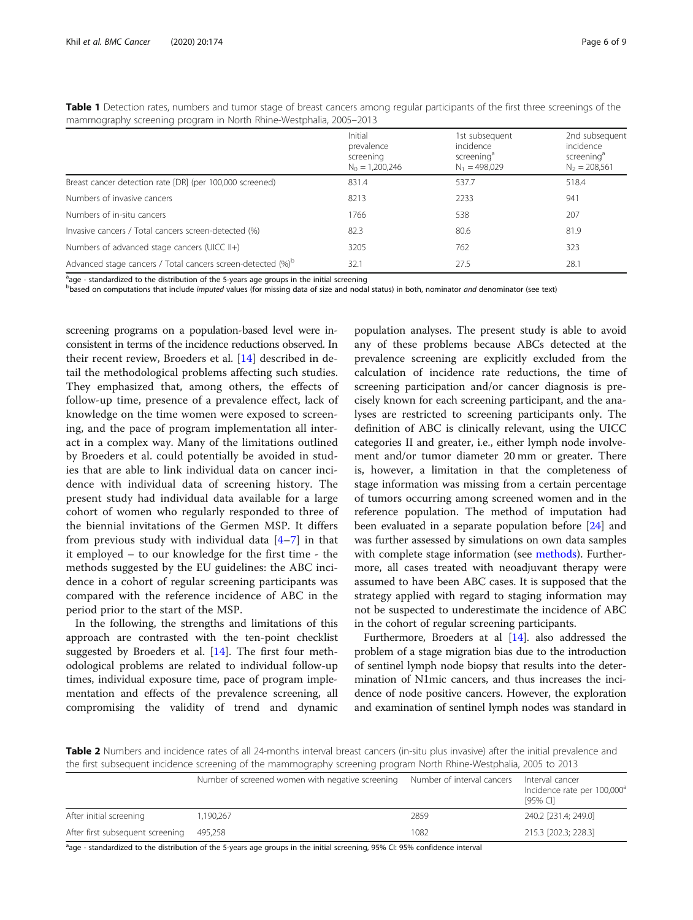<span id="page-5-0"></span>

| Table 1 Detection rates, numbers and tumor stage of breast cancers among regular participants of the first three screenings of the |  |  |  |  |  |
|------------------------------------------------------------------------------------------------------------------------------------|--|--|--|--|--|
| mammography screening program in North Rhine-Westphalia, 2005–2013                                                                 |  |  |  |  |  |

|                                                                         | Initial<br>prevalence<br>screening<br>$N_0 = 1,200,246$ | 1st subsequent<br>incidence<br>screening <sup>a</sup><br>$N_1 = 498,029$ | 2nd subsequent<br>incidence<br>screening <sup>a</sup><br>$N_2 = 208,561$ |
|-------------------------------------------------------------------------|---------------------------------------------------------|--------------------------------------------------------------------------|--------------------------------------------------------------------------|
| Breast cancer detection rate [DR] (per 100,000 screened)                | 831.4                                                   | 537.7                                                                    | 518.4                                                                    |
| Numbers of invasive cancers                                             | 8213                                                    | 2233                                                                     | 941                                                                      |
| Numbers of in-situ cancers                                              | 1766                                                    | 538                                                                      | 207                                                                      |
| Invasive cancers / Total cancers screen-detected (%)                    | 82.3                                                    | 80.6                                                                     | 81.9                                                                     |
| Numbers of advanced stage cancers (UICC II+)                            | 3205                                                    | 762                                                                      | 323                                                                      |
| Advanced stage cancers / Total cancers screen-detected (%) <sup>b</sup> | 32.1                                                    | 27.5                                                                     | 28.1                                                                     |

<sup>a</sup>age - standardized to the distribution of the 5-years age groups in the initial screening

based on computations that include *imputed* values (for missing data of size and nodal status) in both, nominator and denominator (see text)

screening programs on a population-based level were inconsistent in terms of the incidence reductions observed. In their recent review, Broeders et al. [[14](#page-8-0)] described in detail the methodological problems affecting such studies. They emphasized that, among others, the effects of follow-up time, presence of a prevalence effect, lack of knowledge on the time women were exposed to screening, and the pace of program implementation all interact in a complex way. Many of the limitations outlined by Broeders et al. could potentially be avoided in studies that are able to link individual data on cancer incidence with individual data of screening history. The present study had individual data available for a large cohort of women who regularly responded to three of the biennial invitations of the Germen MSP. It differs from previous study with individual data  $[4-7]$  $[4-7]$  $[4-7]$  $[4-7]$  in that it employed – to our knowledge for the first time - the methods suggested by the EU guidelines: the ABC incidence in a cohort of regular screening participants was compared with the reference incidence of ABC in the period prior to the start of the MSP.

In the following, the strengths and limitations of this approach are contrasted with the ten-point checklist suggested by Broeders et al. [[14\]](#page-8-0). The first four methodological problems are related to individual follow-up times, individual exposure time, pace of program implementation and effects of the prevalence screening, all compromising the validity of trend and dynamic

population analyses. The present study is able to avoid any of these problems because ABCs detected at the prevalence screening are explicitly excluded from the calculation of incidence rate reductions, the time of screening participation and/or cancer diagnosis is precisely known for each screening participant, and the analyses are restricted to screening participants only. The definition of ABC is clinically relevant, using the UICC categories II and greater, i.e., either lymph node involvement and/or tumor diameter 20 mm or greater. There is, however, a limitation in that the completeness of stage information was missing from a certain percentage of tumors occurring among screened women and in the reference population. The method of imputation had been evaluated in a separate population before [[24\]](#page-8-0) and was further assessed by simulations on own data samples with complete stage information (see [methods\)](#page-1-0). Furthermore, all cases treated with neoadjuvant therapy were assumed to have been ABC cases. It is supposed that the strategy applied with regard to staging information may not be suspected to underestimate the incidence of ABC in the cohort of regular screening participants.

Furthermore, Broeders at al [\[14\]](#page-8-0). also addressed the problem of a stage migration bias due to the introduction of sentinel lymph node biopsy that results into the determination of N1mic cancers, and thus increases the incidence of node positive cancers. However, the exploration and examination of sentinel lymph nodes was standard in

**Table 2** Numbers and incidence rates of all 24-months interval breast cancers (in-situ plus invasive) after the initial prevalence and the first subsequent incidence screening of the mammography screening program North Rhine-Westphalia, 2005 to 2013

|                                  | Number of screened women with negative screening Number of interval cancers |      | Interval cancer<br>Incidence rate per 100,000 <sup>a</sup><br>[95% CI] |
|----------------------------------|-----------------------------------------------------------------------------|------|------------------------------------------------------------------------|
| After initial screening          | 1.190.267                                                                   | 2859 | 240.2 [231.4; 249.0]                                                   |
| After first subsequent screening | 495.258                                                                     | 1082 | 215.3 [202.3: 228.3]                                                   |
|                                  |                                                                             |      |                                                                        |

age - standardized to the distribution of the 5-years age groups in the initial screening, 95% CI: 95% confidence interval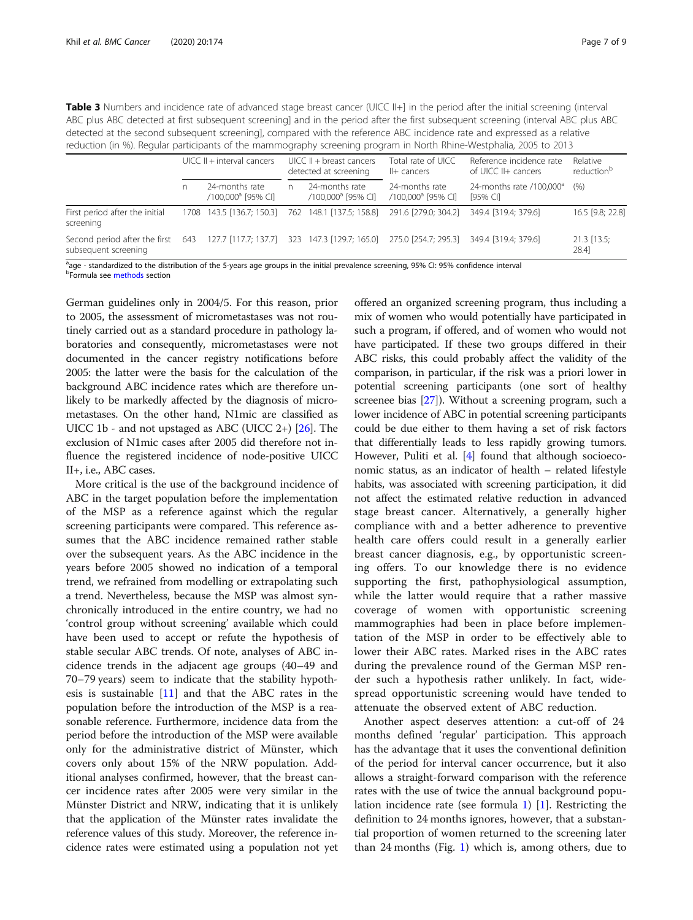<span id="page-6-0"></span>

| <b>Table 3</b> Numbers and incidence rate of advanced stage breast cancer (UICC II+] in the period after the initial screening (interval |
|------------------------------------------------------------------------------------------------------------------------------------------|
| ABC plus ABC detected at first subsequent screening] and in the period after the first subsequent screening (interval ABC plus ABC       |
| detected at the second subsequent screening], compared with the reference ABC incidence rate and expressed as a relative                 |
| reduction (in %). Regular participants of the mammography screening program in North Rhine-Westphalia, 2005 to 2013                      |

|                                                           | $UICC II + interval cancers$ |                                                    | $UICC II + breast cancers$<br>detected at screening |                                                  | Total rate of UICC<br>II+ cancers                                  | Reference incidence rate<br>of UICC II+ cancers | Relative<br>reduction <sup>b</sup> |  |
|-----------------------------------------------------------|------------------------------|----------------------------------------------------|-----------------------------------------------------|--------------------------------------------------|--------------------------------------------------------------------|-------------------------------------------------|------------------------------------|--|
|                                                           |                              | 24-months rate<br>/100.000 <sup>a</sup> [95% CI]   | n.                                                  | 24-months rate<br>/100.000 <sup>a</sup> [95% CI] | 24-months rate<br>/100.000 <sup>a</sup> [95% CI]                   | 24-months rate $/100,000^a$<br>[95% CI]         | (% )                               |  |
| First period after the initial<br>screening               |                              | 1708 143.5 [136.7; 150.3] 762 148.1 [137.5; 158.8] |                                                     |                                                  | 291.6 [279.0; 304.2]                                               | 349.4 [319.4: 379.6]                            | 16.5 [9.8; 22.8]                   |  |
| Second period after the first 643<br>subsequent screening |                              |                                                    |                                                     |                                                  | 127.7 [117.7; 137.7] 323 147.3 [129.7; 165.0] 275.0 [254.7; 295.3] | 349.4 [319.4: 379.6]                            | $21.3$ [13.5;<br>28.4              |  |

age - standardized to the distribution of the 5-years age groups in the initial prevalence screening, 95% CI: 95% confidence interval bFormula see [methods](#page-1-0) section

German guidelines only in 2004/5. For this reason, prior to 2005, the assessment of micrometastases was not routinely carried out as a standard procedure in pathology laboratories and consequently, micrometastases were not documented in the cancer registry notifications before 2005: the latter were the basis for the calculation of the background ABC incidence rates which are therefore unlikely to be markedly affected by the diagnosis of micrometastases. On the other hand, N1mic are classified as UICC 1b - and not upstaged as ABC (UICC 2+)  $[26]$  $[26]$  $[26]$ . The exclusion of N1mic cases after 2005 did therefore not influence the registered incidence of node-positive UICC II+, i.e., ABC cases.

More critical is the use of the background incidence of ABC in the target population before the implementation of the MSP as a reference against which the regular screening participants were compared. This reference assumes that the ABC incidence remained rather stable over the subsequent years. As the ABC incidence in the years before 2005 showed no indication of a temporal trend, we refrained from modelling or extrapolating such a trend. Nevertheless, because the MSP was almost synchronically introduced in the entire country, we had no 'control group without screening' available which could have been used to accept or refute the hypothesis of stable secular ABC trends. Of note, analyses of ABC incidence trends in the adjacent age groups (40–49 and 70–79 years) seem to indicate that the stability hypothesis is sustainable [\[11\]](#page-7-0) and that the ABC rates in the population before the introduction of the MSP is a reasonable reference. Furthermore, incidence data from the period before the introduction of the MSP were available only for the administrative district of Münster, which covers only about 15% of the NRW population. Additional analyses confirmed, however, that the breast cancer incidence rates after 2005 were very similar in the Münster District and NRW, indicating that it is unlikely that the application of the Münster rates invalidate the reference values of this study. Moreover, the reference incidence rates were estimated using a population not yet

offered an organized screening program, thus including a mix of women who would potentially have participated in such a program, if offered, and of women who would not have participated. If these two groups differed in their ABC risks, this could probably affect the validity of the comparison, in particular, if the risk was a priori lower in potential screening participants (one sort of healthy screenee bias [\[27](#page-8-0)]). Without a screening program, such a lower incidence of ABC in potential screening participants could be due either to them having a set of risk factors that differentially leads to less rapidly growing tumors. However, Puliti et al. [[4\]](#page-7-0) found that although socioeconomic status, as an indicator of health – related lifestyle habits, was associated with screening participation, it did not affect the estimated relative reduction in advanced stage breast cancer. Alternatively, a generally higher compliance with and a better adherence to preventive health care offers could result in a generally earlier breast cancer diagnosis, e.g., by opportunistic screening offers. To our knowledge there is no evidence supporting the first, pathophysiological assumption, while the latter would require that a rather massive coverage of women with opportunistic screening mammographies had been in place before implementation of the MSP in order to be effectively able to lower their ABC rates. Marked rises in the ABC rates during the prevalence round of the German MSP render such a hypothesis rather unlikely. In fact, widespread opportunistic screening would have tended to attenuate the observed extent of ABC reduction.

Another aspect deserves attention: a cut-off of 24 months defined 'regular' participation. This approach has the advantage that it uses the conventional definition of the period for interval cancer occurrence, but it also allows a straight-forward comparison with the reference rates with the use of twice the annual background population incidence rate (see formula [1\)](#page-2-0) [\[1\]](#page-7-0). Restricting the definition to 24 months ignores, however, that a substantial proportion of women returned to the screening later than 24 months (Fig. [1](#page-3-0)) which is, among others, due to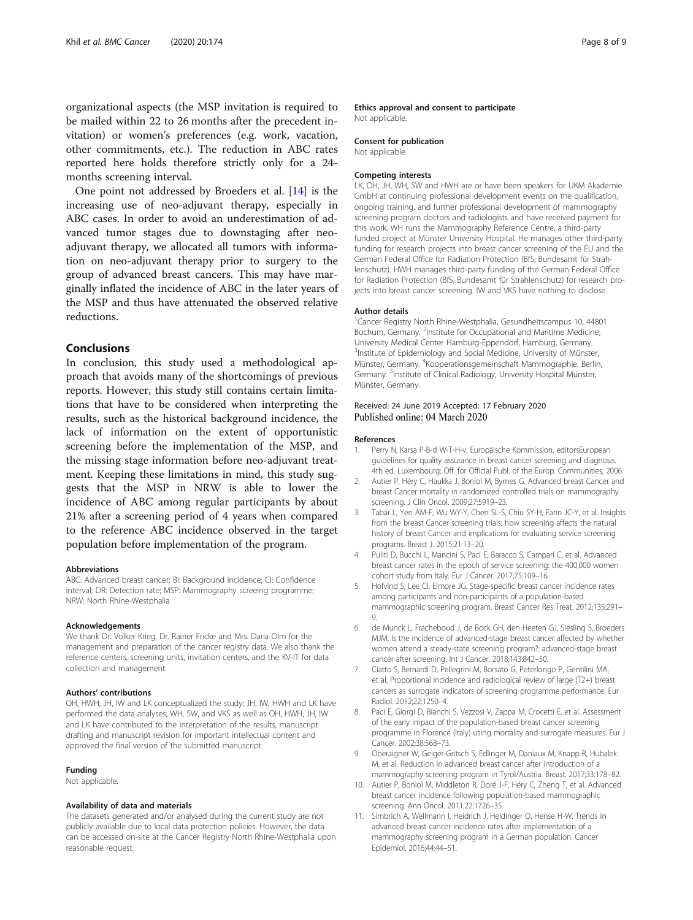<span id="page-7-0"></span>organizational aspects (the MSP invitation is required to be mailed within 22 to 26 months after the precedent invitation) or women's preferences (e.g. work, vacation, other commitments, etc.). The reduction in ABC rates reported here holds therefore strictly only for a 24 months screening interval.

One point not addressed by Broeders et al. [\[14](#page-8-0)] is the increasing use of neo-adjuvant therapy, especially in ABC cases. In order to avoid an underestimation of advanced tumor stages due to downstaging after neoadjuvant therapy, we allocated all tumors with information on neo-adjuvant therapy prior to surgery to the group of advanced breast cancers. This may have marginally inflated the incidence of ABC in the later years of the MSP and thus have attenuated the observed relative reductions.

#### Conclusions

In conclusion, this study used a methodological approach that avoids many of the shortcomings of previous reports. However, this study still contains certain limitations that have to be considered when interpreting the results, such as the historical background incidence, the lack of information on the extent of opportunistic screening before the implementation of the MSP, and the missing stage information before neo-adjuvant treatment. Keeping these limitations in mind, this study suggests that the MSP in NRW is able to lower the incidence of ABC among regular participants by about 21% after a screening period of 4 years when compared to the reference ABC incidence observed in the target population before implementation of the program.

#### Abbreviations

ABC: Advanced breast cancer; BI: Background incidence; CI: Confidence interval; DR: Detection rate; MSP: Mammography screeing programme; NRW: North Rhine-Westphalia

#### Acknowledgements

We thank Dr. Volker Krieg, Dr. Rainer Fricke and Mrs. Daria Olm for the management and preparation of the cancer registry data. We also thank the reference centers, screening units, invitation centers, and the KV-IT for data collection and management.

#### Authors' contributions

OH, HWH, JH, IW and LK conceptualized the study; JH, IW, HWH and LK have performed the data analyses; WH, SW, and VKS as well as OH, HWH, JH, IW and LK have contributed to the interpretation of the results, manuscript drafting and manuscript revision for important intellectual content and approved the final version of the submitted manuscript.

#### Funding

Not applicable.

#### Availability of data and materials

The datasets generated and/or analysed during the current study are not publicly available due to local data protection policies. However, the data can be accessed on-site at the Cancer Registry North Rhine-Westphalia upon reasonable request.

#### Ethics approval and consent to participate Not applicable.

#### Consent for publication

Not applicable.

#### Competing interests

LK, OH, JH, WH, SW and HWH are or have been speakers for UKM Akademie GmbH at continuing professional development events on the qualification, ongoing training, and further professional development of mammography screening program doctors and radiologists and have received payment for this work. WH runs the Mammography Reference Centre, a third-party funded project at Münster University Hospital. He manages other third-party funding for research projects into breast cancer screening of the EU and the German Federal Office for Radiation Protection (BfS, Bundesamt für Strahlenschutz). HWH manages third-party funding of the German Federal Office for Radiation Protection (BfS, Bundesamt für Strahlenschutz) for research projects into breast cancer screening. IW and VKS have nothing to disclose.

#### Author details

<sup>1</sup> Cancer Registry North Rhine-Westphalia, Gesundheitscampus 10, 44801 Bochum, Germany. <sup>2</sup>Institute for Occupational and Maritime Medicine, University Medical Center Hamburg-Eppendorf, Hamburg, Germany. <sup>3</sup>Institute of Epidemiology and Social Medicine, University of Münster, Münster, Germany. <sup>4</sup>Kooperationsgemeinschaft Mammographie, Berlin, Germany. <sup>5</sup>Institute of Clinical Radiology, University Hospital Münster, Münster, Germany.

#### Received: 24 June 2019 Accepted: 17 February 2020 Published online: 04 March 2020

#### References

- 1. Perry N, Karsa P-B-d W-T-H-v, Europäische Kommission. editorsEuropean guidelines for quality assurance in breast cancer screening and diagnosis. 4th ed. Luxembourg: Off. for Official Publ. of the Europ. Communities; 2006.
- 2. Autier P, Héry C, Haukka J, Boniol M, Byrnes G. Advanced breast Cancer and breast Cancer mortality in randomized controlled trials on mammography screening. J Clin Oncol. 2009;27:5919–23.
- 3. Tabár L, Yen AM-F, Wu WY-Y, Chen SL-S, Chiu SY-H, Fann JC-Y, et al. Insights from the breast Cancer screening trials: how screening affects the natural history of breast Cancer and implications for evaluating service screening programs. Breast J. 2015;21:13–20.
- 4. Puliti D, Bucchi L, Mancini S, Paci E, Baracco S, Campari C, et al. Advanced breast cancer rates in the epoch of service screening: the 400,000 women cohort study from Italy. Eur J Cancer. 2017;75:109–16.
- 5. Hofvind S, Lee CI, Elmore JG. Stage-specific breast cancer incidence rates among participants and non-participants of a population-based mammographic screening program. Breast Cancer Res Treat. 2012;135:291– 9.
- 6. de Munck L, Fracheboud J, de Bock GH, den Heeten GJ, Siesling S, Broeders MJM. Is the incidence of advanced-stage breast cancer affected by whether women attend a steady-state screening program?: advanced-stage breast cancer after screening. Int J Cancer. 2018;143:842–50.
- 7. Ciatto S, Bernardi D, Pellegrini M, Borsato G, Peterlongo P, Gentilini MA, et al. Proportional incidence and radiological review of large (T2+) breast cancers as surrogate indicators of screening programme performance. Eur Radiol. 2012;22:1250–4.
- 8. Paci E, Giorgi D, Bianchi S, Vezzosi V, Zappa M, Crocetti E, et al. Assessment of the early impact of the population-based breast cancer screening programme in Florence (Italy) using mortality and surrogate measures. Eur J Cancer. 2002;38:568–73.
- 9. Oberaigner W, Geiger-Gritsch S, Edlinger M, Daniaux M, Knapp R, Hubalek M, et al. Reduction in advanced breast cancer after introduction of a mammography screening program in Tyrol/Austria. Breast. 2017;33:178–82.
- 10. Autier P, Boniol M, Middleton R, Doré J-F, Héry C, Zheng T, et al. Advanced breast cancer incidence following population-based mammographic screening. Ann Oncol. 2011;22:1726–35.
- 11. Simbrich A, Wellmann I, Heidrich J, Heidinger O, Hense H-W. Trends in advanced breast cancer incidence rates after implementation of a mammography screening program in a German population. Cancer Epidemiol. 2016;44:44–51.